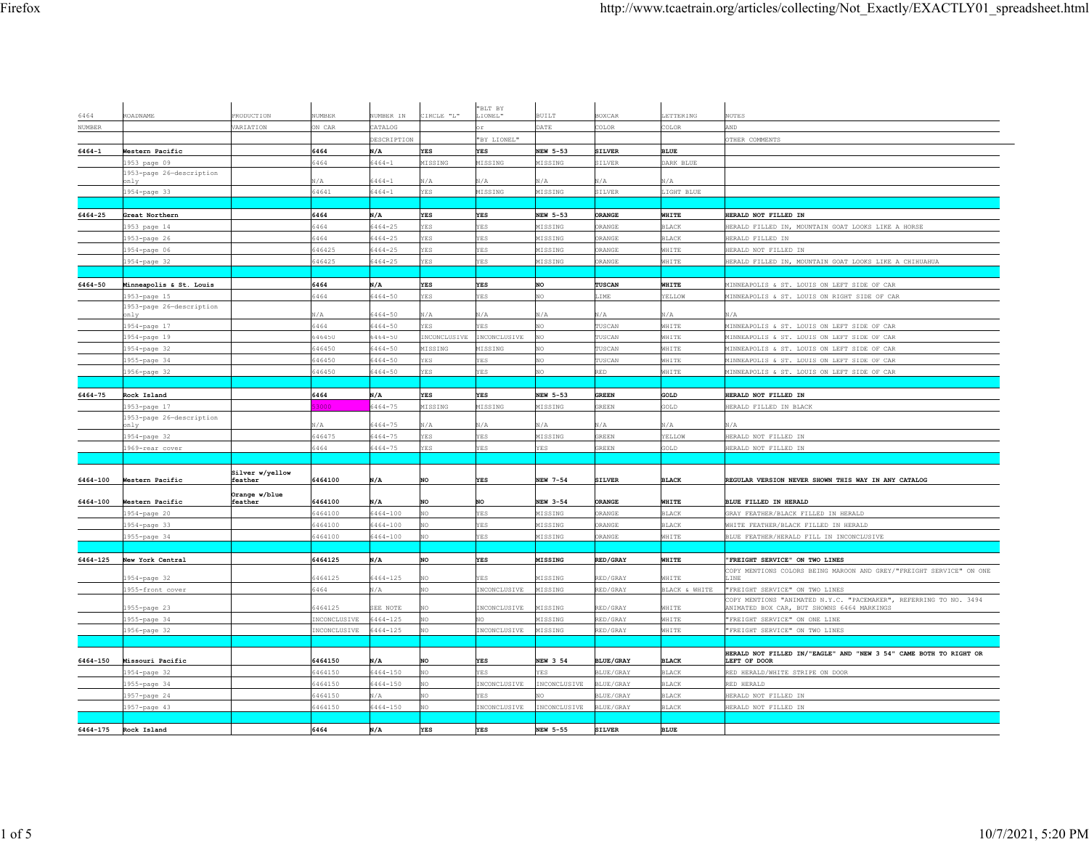|                     |                                  |                            |               |              |              | "BLT BY      |                |                  |               |                                                                                                                 |
|---------------------|----------------------------------|----------------------------|---------------|--------------|--------------|--------------|----------------|------------------|---------------|-----------------------------------------------------------------------------------------------------------------|
| 6464                | ROADNAME                         | PRODUCTION                 | <b>IUMBER</b> | UMBER IN     | CIRCLE "L"   | LIONEL"      | <b>BUILT</b>   | <b>SOXCAR</b>    | LETTERING     | <b>OTES</b>                                                                                                     |
| $\hbox{\tt NUMBER}$ |                                  | VARIATION                  | N CAR         | ATALOG       |              |              | <b>DATE</b>    | OLOR             | COLOR         | <b>AND</b>                                                                                                      |
|                     |                                  |                            |               | DESCRIPTION  |              | "BY LIONEL"  |                |                  |               | OTHER COMMENTS                                                                                                  |
| 6464-1              | Western Pacific                  |                            | 6464          | N/A          | <b>YES</b>   | <b>YES</b>   | NEW 5-53       | <b>SILVER</b>    | <b>BLUE</b>   |                                                                                                                 |
|                     | 1953 page 09                     |                            | 6464          | $6464 - 1$   | MISSING      | MISSING      | MISSING        | <b>SILVER</b>    | DARK BLUE     |                                                                                                                 |
|                     | 1953-page 26-description<br>nlv  |                            | $\sqrt{A}$    | $5464 - 1$   | N/A          | N/A          | N/A            | I/A              | N/A           |                                                                                                                 |
|                     | 954-page 33                      |                            | 64641         | $6464 - 1$   | YES          | MISSING      | MISSING        | SILVER           | LIGHT BLUE    |                                                                                                                 |
|                     |                                  |                            |               |              |              |              |                |                  |               |                                                                                                                 |
| 6464-25             | Great Northern                   |                            | 6464          | N/A          | YES          | YES          | NEW 5-53       | ORANGE           | WHITE         | HERALD NOT FILLED IN                                                                                            |
|                     | 1953 page 14                     |                            | 5464          | $5464 - 25$  | YES          | <b>YES</b>   | MISSING        | RANGE            | <b>BLACK</b>  | HERALD FILLED IN, MOUNTAIN GOAT LOOKS LIKE A HORSE                                                              |
|                     | 953-page 26                      |                            | 6464          | $5464 - 25$  | YES          | YES          | MISSING        | RANGE            | BLACK         | HERALD FILLED IN                                                                                                |
|                     | 954-page 06                      |                            | 546425        | $5464 - 25$  | <b>ES</b>    | <b>YES</b>   | MISSING        | RANGE            | WHITE         | HERALD NOT FILLED IN                                                                                            |
|                     | 1954-page 32                     |                            | 646425        | $5464 - 25$  | YES          | YES          | MISSING        | ORANGE           | WHITE         | HERALD FILLED IN, MOUNTAIN GOAT LOOKS LIKE A CHIHUAHUA                                                          |
|                     |                                  |                            |               |              |              |              |                |                  |               |                                                                                                                 |
| 6464-50             | Minneapolis & St. Louis          |                            | 6464          | N/A          | YES          | YES          | NO             | <b>TUSCAN</b>    | WHITE         | MINNEAPOLIS & ST. LOUIS ON LEFT SIDE OF CAR                                                                     |
|                     | 953-page 15                      |                            | 5464          | $5464 - 50$  | <b>ES</b>    | <b>YES</b>   | OV.            | <b>IME</b>       | YELLOW        | MINNEAPOLIS & ST. LOUIS ON RIGHT SIDE OF CAR                                                                    |
|                     | 1953-page 26-description<br>only |                            | VЛ.           | 5464-50      | N/A          | N/A          | N/A            | N/A              | N/A           | N/A                                                                                                             |
|                     | 1954-page 17                     |                            | 5464          | $5464 - 50$  | <b>ES</b>    | YES          | OV.            | USCAN            | WHITE         | MINNEAPOLIS & ST. LOUIS ON LEFT SIDE OF CAR                                                                     |
|                     | 1954-page 19                     |                            | 646450        | 6464-50      | INCONCLUSIVE | INCONCLUSIVE | NO             | USCAN            | WHITE         | MINNEAPOLIS & ST. LOUIS ON LEFT SIDE OF CAR                                                                     |
|                     | 1954-page 32                     |                            | 646450        | 6464-50      | MISSING      | MISSING      | NO             | USCAN            | WHITE         | MINNEAPOLIS & ST. LOUIS ON LEFT SIDE OF CAR                                                                     |
|                     | 1955-page 34                     |                            | 46450         | $6464 - 50$  | <b>ES</b>    | <b>YES</b>   | NO             | USCAN            | WHITE         | MINNEAPOLIS & ST. LOUIS ON LEFT SIDE OF CAR                                                                     |
|                     | 956-page 32                      |                            | 646450        | $5464 - 50$  | <b>ES</b>    | YES          | NO             | RED              | WHITE         | MINNEAPOLIS & ST. LOUIS ON LEFT SIDE OF CAR                                                                     |
|                     |                                  |                            |               |              |              |              |                |                  |               |                                                                                                                 |
| 6464-75             | Rock Island                      |                            | 6464          | N/A          | YES          | YES          | NEW 5-53       | GREEN            | GOLD          | HERALD NOT FILLED IN                                                                                            |
|                     | 1953-page 17                     |                            | 3000          | $5464 - 75$  | MISSING      | MISSING      | MISSING        | GREEN            | GOLD          | HERALD FILLED IN BLACK                                                                                          |
|                     | 1953-page 26-description         |                            |               |              |              |              |                |                  |               |                                                                                                                 |
|                     | nlv                              |                            | VА.           | $5464 - 75$  | N/A          | N/A          | N/A            | I/A              | N/A           | √JA                                                                                                             |
|                     | 954-page 32                      |                            | 546475        | $5464 - 75$  | YES          | <b>YES</b>   | MISSING        | REEN             | YELLOW        | HERALD NOT FILLED IN                                                                                            |
|                     | 969-rear cover                   |                            | 5464          | 5464-75      | <b>ES</b>    | YES          | YES            | REEN             | GOLD          | HERALD NOT FILLED IN                                                                                            |
|                     |                                  |                            |               |              |              |              |                |                  |               |                                                                                                                 |
| 6464-100            | Western Pacific                  | Silver w/yellow<br>feather | 6464100       | N/A          | <b>NO</b>    | <b>YES</b>   | NEW 7-54       | <b>SILVER</b>    | <b>BLACK</b>  | REGULAR VERSION NEVER SHOWN THIS WAY IN ANY CATALOG                                                             |
|                     |                                  | Orange w/blue              |               |              |              |              |                |                  |               |                                                                                                                 |
| 6464-100            | Western Pacific                  | feather                    | 6464100       | N/A          | NO           | NO           | NEW 3-54       | ORANGE           | WHITE         | BLUE FILLED IN HERALD                                                                                           |
|                     | 954-page 20                      |                            | 6464100       | 6464-100     | NO.          | <b>YES</b>   | MISSING        | RANGE            | <b>BLACK</b>  | GRAY FEATHER/BLACK FILLED IN HERALD                                                                             |
|                     | 954-page 33                      |                            | 464100        | $5464 - 100$ |              | YES          | MISSING        | RANGE            | BLACK         | WHITE FEATHER/BLACK FILLED IN HERALD                                                                            |
|                     | 1955-page 34                     |                            | 5464100       | 6464-100     |              | YES          | MISSING        | RANGE            | WHITE         | BLUE FEATHER/HERALD FILL IN INCONCLUSIVE                                                                        |
|                     |                                  |                            |               |              |              |              |                |                  |               |                                                                                                                 |
| 6464-125            | New York Central                 |                            | 6464125       | N/A          | NO           | YES          | <b>MISSING</b> | <b>RED/GRAY</b>  | WHITE         | "FREIGHT SERVICE" ON TWO LINES                                                                                  |
|                     | 954-page 32                      |                            | 5464125       | $6464 - 125$ | NO           | YES.         | MISSING        | RED/GRAY         | WHITE         | COPY MENTIONS COLORS BEING MAROON AND GREY/"FREIGHT SERVICE" ON ONE<br>LINE                                     |
|                     | 1955-front cover                 |                            | 6464          | N/A          | NO.          | INCONCLUSIVE | MISSING        | RED/GRAY         | BLACK & WHITE | "FREIGHT SERVICE" ON TWO LINES                                                                                  |
|                     | 955-page 23                      |                            | 6464125       | SEE NOTE     |              | INCONCLUSIVE | MISSING        | RED/GRAY         | WHITE         | COPY MENTIONS "ANIMATED N.Y.C. "PACEMAKER", REFERRING TO NO. 3494<br>ANIMATED BOX CAR, BUT SHOWNS 6464 MARKINGS |
|                     | 1955-page 34                     |                            | INCONCLUSIVE  | $6464 - 125$ | NO.          | NO.          | MISSING        | RED/GRAY         | WHITE         | "FREIGHT SERVICE" ON ONE LINE                                                                                   |
|                     | 956-page 32                      |                            | INCONCLUSIVE  | 6464-125     |              | INCONCLUSIVE | MISSING        | RED/GRAY         | WHITE         | "FREIGHT SERVICE" ON TWO LINES                                                                                  |
|                     |                                  |                            |               |              |              |              |                |                  |               |                                                                                                                 |
|                     |                                  |                            |               |              |              |              |                |                  |               | HERALD NOT FILLED IN/"EAGLE" AND "NEW 3 54" CAME BOTH TO RIGHT OR                                               |
| 6464-150            | Missouri Pacific                 |                            | 6464150       | N/A          | NO           | YES          | NEW 3 54       | <b>BLUE/GRAY</b> | <b>BLACK</b>  | LEFT OF DOOR                                                                                                    |
|                     | 1954-page 32                     |                            | 6464150       | $6464 - 150$ |              | <b>YES</b>   | <b>CES</b>     | LUE/GRAY         | <b>BLACK</b>  | RED HERALD/WHITE STRIPE ON DOOR                                                                                 |
|                     | 955-page 34                      |                            | 5464150       | $5464 - 150$ |              | INCONCLUSIVE | INCONCLUSIVE   | <b>SLUE/GRAY</b> | BLACK         | RED HERALD                                                                                                      |
|                     | 1957-page 24                     |                            | 6464150       | N/A          | NO           | <b>YES</b>   | NO.            | BLUE/GRAY        | <b>BLACK</b>  | HERALD NOT FILLED IN                                                                                            |
|                     | 957-page 43                      |                            | 6464150       | $6464 - 150$ |              | INCONCLUSIVE | INCONCLUSIVE   | BLUE/GRAY        | <b>BLACK</b>  | HERALD NOT FILLED IN                                                                                            |
|                     |                                  |                            | 6464          |              | <b>YES</b>   |              |                |                  | <b>BLUE</b>   |                                                                                                                 |
| 6464-175            | Rock Island                      |                            |               | N/A          |              | <b>YES</b>   | NEW 5-55       | <b>SILVER</b>    |               |                                                                                                                 |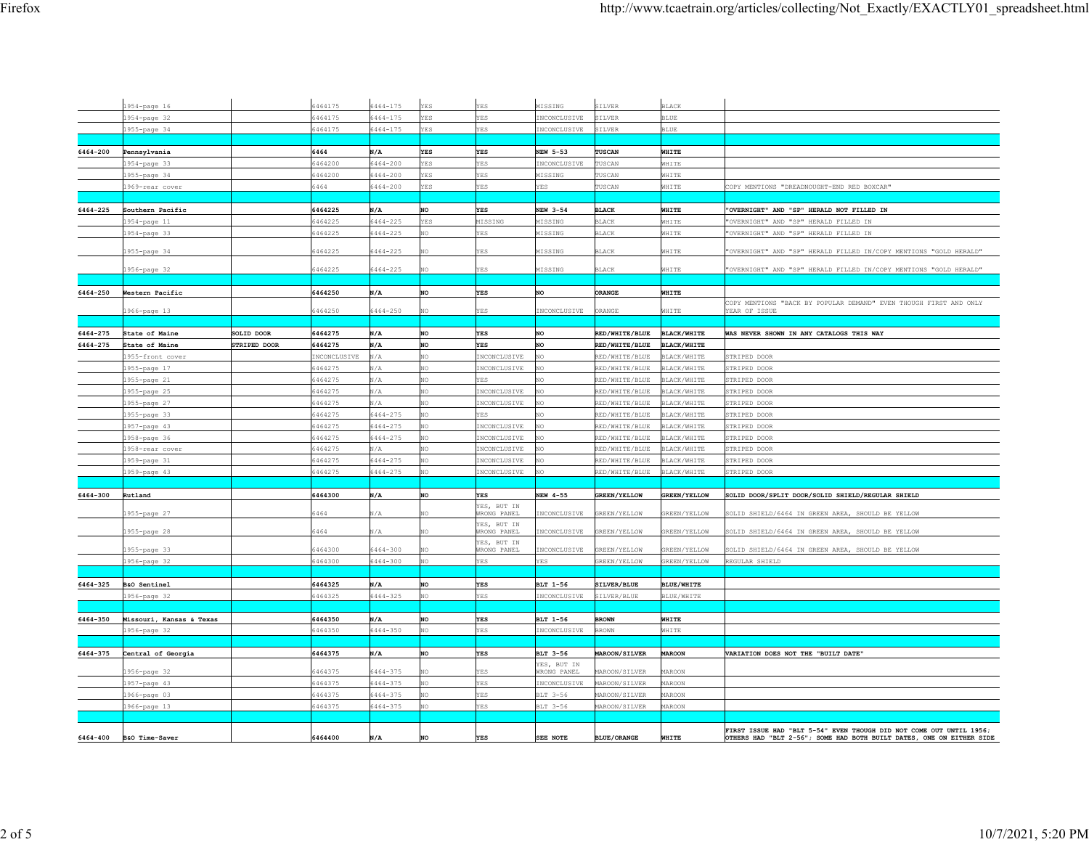|          | 1954-page 16             |              | 6464175            | 6464-175             | <b>YES</b> | YES                               | MISSING             | SILVER              | <b>BLACK</b>                      |                                                                                                                                             |
|----------|--------------------------|--------------|--------------------|----------------------|------------|-----------------------------------|---------------------|---------------------|-----------------------------------|---------------------------------------------------------------------------------------------------------------------------------------------|
|          | 1954-page 32             |              | 6464175            | $6464 - 175$         | YES        | <b>YES</b>                        | INCONCLUSIVE        | SILVER              | <b>BLUE</b>                       |                                                                                                                                             |
|          | 1955-page 34             |              | 6464175            | $6464 - 175$         | <b>YES</b> | <b>YES</b>                        | INCONCLUSIVE        | SILVER              | <b>BLUE</b>                       |                                                                                                                                             |
|          |                          |              |                    |                      |            |                                   |                     |                     |                                   |                                                                                                                                             |
| 6464-200 | Pennsylvania             |              | 6464               | N/A                  | <b>YES</b> | <b>YES</b>                        | NEW 5-53            | TUSCAN              | WHITE                             |                                                                                                                                             |
|          |                          |              | 6464200            | $6464 - 200$         | <b>YES</b> | <b>YES</b>                        | <b>INCONCLUSIVE</b> | TUSCAN              | WHITE                             |                                                                                                                                             |
|          | 1954-page 33             |              |                    | $6464 - 200$         | YES        | YES                               |                     |                     |                                   |                                                                                                                                             |
|          | 1955-page 34             |              | 6464200<br>6464    |                      | YES        | <b>YES</b>                        | MISSING<br>YES      | TUSCAN<br>TUSCAN    | WHITE                             |                                                                                                                                             |
|          | 1969-rear cover          |              |                    | 6464-200             |            |                                   |                     |                     | WHITE                             | COPY MENTIONS "DREADNOUGHT-END RED BOXCAR"                                                                                                  |
|          |                          |              |                    |                      |            |                                   |                     |                     |                                   |                                                                                                                                             |
| 6464-225 | Southern Pacific         |              | 6464225            | N/A                  | NO         | YES                               | NEW 3-54            | <b>BLACK</b>        | WHITE                             | "OVERNIGHT" AND "SP" HERALD NOT FILLED IN                                                                                                   |
|          | 1954-page 11             |              | 6464225            | 6464-225             | YES        | MISSING                           | MISSING             | <b>BLACK</b>        | WHITE                             | 'OVERNIGHT" AND "SP" HERALD FILLED IN                                                                                                       |
|          | 1954-page 33             |              | 6464225            | 6464-225             | NO         | <b>YES</b>                        | MISSING             | <b>BLACK</b>        | WHITE                             | "OVERNIGHT" AND "SP" HERALD FILLED IN                                                                                                       |
|          | 1955-page 34             |              | 6464225            | 6464-225             | NO         | YES                               | MISSING             | <b>BLACK</b>        | WHITE                             | "OVERNIGHT" AND "SP" HERALD FILLED IN/COPY MENTIONS "GOLD HERALD"                                                                           |
|          |                          |              |                    |                      |            |                                   |                     |                     |                                   |                                                                                                                                             |
|          | 1956-page 32             |              | 6464225            | 6464-225             | NO.        | YES.                              | MISSING             | <b>BLACK</b>        | WHITE                             | "OVERNIGHT" AND "SP" HERALD FILLED IN/COPY MENTIONS "GOLD HERALD"                                                                           |
|          |                          |              |                    |                      |            |                                   |                     |                     |                                   |                                                                                                                                             |
| 6464-250 | Western Pacific          |              | 6464250            | N/A                  | NO         | <b>YES</b>                        | NO                  | ORANGE              | WHITE                             |                                                                                                                                             |
|          | 1966-page 13             |              | 6464250            | $6464 - 250$         | NO.        | YES                               | INCONCLUSIVE        | ORANGE              | WHITE                             | OPY MENTIONS "BACK BY POPULAR DEMAND" EVEN THOUGH FIRST AND ONLY<br>YEAR OF ISSUE                                                           |
|          |                          |              |                    |                      |            |                                   |                     |                     |                                   |                                                                                                                                             |
| 6464-275 | State of Maine           | SOLID DOOR   | 6464275            | N/A                  | NO         | <b>YES</b>                        | NO                  | RED/WHITE/BLUE      | <b>BLACK/WHITE</b>                | WAS NEVER SHOWN IN ANY CATALOGS THIS WAY                                                                                                    |
| 6464-275 | State of Maine           | STRIPED DOOR | 6464275            | N/A                  | NO         | <b>YES</b>                        | NO                  | RED/WHITE/BLUE      | <b>BLACK/WHITE</b>                |                                                                                                                                             |
|          | 1955-front cover         |              | INCONCLUSIVE       | N/A                  | NO         | INCONCLUSIVE                      | NO                  | RED/WHITE/BLUE      | BLACK/WHITE                       | STRIPED DOOR                                                                                                                                |
|          |                          |              | 6464275            | N/A                  | NO         | INCONCLUSIVE                      | NΩ                  | RED/WHITE/BLUE      | BLACK/WHITE                       | STRIPED DOOR                                                                                                                                |
|          | 1955-page 17             |              |                    |                      |            | YES                               | NÓ                  |                     |                                   |                                                                                                                                             |
|          | 1955-page 21             |              | 6464275            | N/A                  | NO         |                                   |                     | RED/WHITE/BLUE      | <b>BLACK/WHITE</b>                | STRIPED DOOR                                                                                                                                |
|          | 1955-page 25             |              | 6464275            | N/A<br>N/A           | NO         | INCONCLUSIVE                      | NO                  | RED/WHITE/BLUE      | <b>BLACK/WHITE</b>                | <b>STRIPED DOOR</b>                                                                                                                         |
|          | 1955-page 27             |              | 6464275            |                      | NO.        | INCONCLUSIVE                      | NÓ                  | RED/WHITE/BLUE      | <b>BLACK/WHITE</b>                | TRIPED DOOR                                                                                                                                 |
|          | 1955-page 33             |              | 6464275<br>6464275 | 6464-275<br>6464-275 | NO         | ES.                               | NÓ                  | RED/WHITE/BLUE      | <b>BLACK/WHITE</b><br>BLACK/WHITE | TRIPED DOOR                                                                                                                                 |
|          | 1957-page 43             |              |                    |                      | NO         | INCONCLUSIVE                      | NO                  | RED/WHITE/BLUE      |                                   | TRIPED DOOR                                                                                                                                 |
|          | 1958-page 36             |              | 6464275            | 6464-275             | NÓ         | INCONCLUSIVE                      | NO                  | RED/WHITE/BLUE      | <b>BLACK/WHITE</b>                | TRIPED DOOR                                                                                                                                 |
|          | 1958-rear cover          |              | 6464275            | N/A                  | NO         | NCONCLUSIVE                       | NÓ                  | RED/WHITE/BLUE      | <b>BLACK/WHITE</b>                | TRIPED DOOR                                                                                                                                 |
|          | 1959-page 31             |              | 6464275            | $6464 - 275$         | NO         | INCONCLUSIVE                      | NO.                 | RED/WHITE/BLUE      | <b>BLACK/WHITE</b>                | STRIPED DOOR                                                                                                                                |
|          | 1959-page 43             |              | 6464275            | $6464 - 275$         | NO         | INCONCLUSIVE                      | NÓ                  | RED/WHITE/BLUE      | <b>BLACK/WHITE</b>                | STRIPED DOOR                                                                                                                                |
|          |                          |              |                    |                      |            |                                   |                     |                     |                                   |                                                                                                                                             |
| 6464-300 | Rutland                  |              | 6464300            | N/A                  | NO         | <b>YES</b>                        | NEW 4-55            | <b>GREEN/YELLOW</b> | <b>GREEN/YELLOW</b>               | SOLID DOOR/SPLIT DOOR/SOLID SHIELD/REGULAR SHIELD                                                                                           |
|          | 1955-page 27             |              | 6464               | N/A                  | NO.        | YES, BUT IN<br><b>WRONG PANEL</b> | INCONCLUSIVE        | GREEN/YELLOW        | GREEN/YELLOW                      | SOLID SHIELD/6464 IN GREEN AREA, SHOULD BE YELLOW                                                                                           |
|          |                          |              |                    |                      |            | YES, BUT IN                       |                     |                     |                                   |                                                                                                                                             |
|          | 1955-page 28             |              | 6464               | N/A                  | NO.        | WRONG PANEL                       | INCONCLUSIVE        | GREEN/YELLOW        | GREEN/YELLOW                      | SOLID SHIELD/6464 IN GREEN AREA, SHOULD BE YELLOW                                                                                           |
|          | 1955-page 33             |              | 6464300            | $6464 - 300$         | NO.        | YES, BUT IN<br>WRONG PANEL        | INCONCLUSIVE        | GREEN/YELLOW        | GREEN/YELLOW                      | SOLID SHIELD/6464 IN GREEN AREA, SHOULD BE YELLOW                                                                                           |
|          | 1956-page 32             |              | 6464300            | 6464-300             | NO.        | YES                               | YES                 | GREEN/YELLOW        | GREEN/YELLOW                      | REGULAR SHIELD                                                                                                                              |
|          |                          |              |                    |                      |            |                                   |                     |                     |                                   |                                                                                                                                             |
| 6464-325 | B&O Sentinel             |              | 6464325            | N/A                  | <b>NO</b>  | <b>YES</b>                        | BLT 1-56            | SILVER/BLUE         | <b>BLUE/WHITE</b>                 |                                                                                                                                             |
|          | 1956-page 32             |              | 6464325            | $6464 - 325$         | NO.        | <b>YES</b>                        | INCONCLUSIVE        | SILVER/BLUE         | BLUE/WHITE                        |                                                                                                                                             |
|          |                          |              |                    |                      |            |                                   |                     |                     |                                   |                                                                                                                                             |
| 6464-350 | Missouri, Kansas & Texas |              | 6464350            | N/A                  | <b>NO</b>  | <b>YES</b>                        | BLT 1-56            | <b>BROWN</b>        | WHITE                             |                                                                                                                                             |
|          | 1956-page 32             |              | 6464350            | $6464 - 350$         | NO         | <b>YES</b>                        | INCONCLUSIVE        | <b>BROWN</b>        | WHITE                             |                                                                                                                                             |
|          |                          |              |                    |                      |            |                                   |                     |                     |                                   |                                                                                                                                             |
| 6464-375 | Central of Georgia       |              | 6464375            | N/A                  | NO         | YES                               | BLT 3-56            | MAROON/SILVER       | <b>MAROON</b>                     | VARIATION DOES NOT THE "BUILT DATE"                                                                                                         |
|          |                          |              |                    |                      |            |                                   | YES, BUT IN         |                     |                                   |                                                                                                                                             |
|          | 1956-page 32             |              | 6464375            | $6464 - 375$         | NO.        | <b>YES</b>                        | WRONG PANEL         | MAROON/SILVER       | MAROON                            |                                                                                                                                             |
|          | 1957-page 43             |              | 6464375            | $6464 - 375$         | NO         | YES                               | INCONCLUSIVE        | MAROON/SILVER       | MAROON                            |                                                                                                                                             |
|          | 1966-page 03             |              | 6464375            | $6464 - 375$         | NO.        | YES                               | BLT 3-56            | MAROON/SILVER       | MAROON                            |                                                                                                                                             |
|          | 1966-page 13             |              | 6464375            | $6464 - 375$         | NO         | YES                               | BLT 3-56            | MAROON/SILVER       | MAROON                            |                                                                                                                                             |
|          |                          |              |                    |                      |            |                                   |                     |                     |                                   |                                                                                                                                             |
| 6464-400 | B&O Time-Saver           |              | 6464400            | N/A                  | NO         | YES                               | SEE NOTE            | <b>BLUE/ORANGE</b>  | WHITE                             | FIRST ISSUE HAD "BLT 5-54" EVEN THOUGH DID NOT COME OUT UNTIL 1956;<br>OTHERS HAD "BLT 2-56"; SOME HAD BOTH BUILT DATES, ONE ON EITHER SIDE |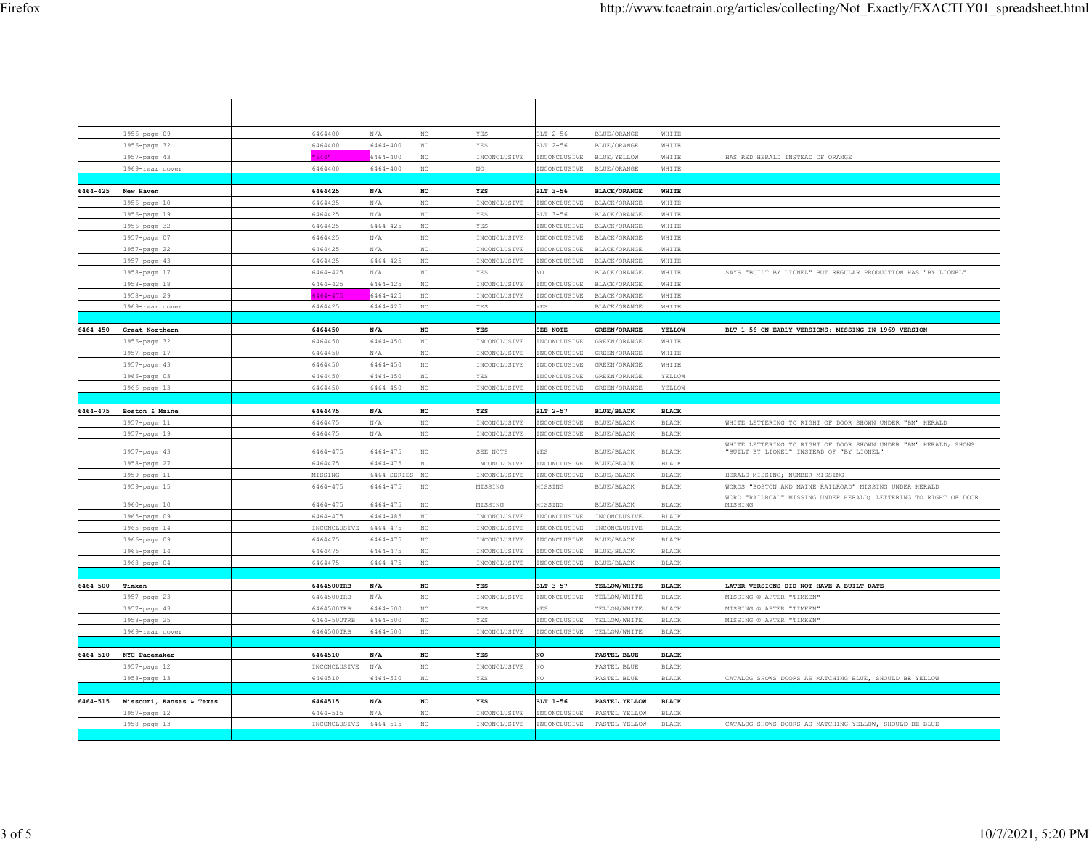|          | 1956-page 09                 | 6464400                             | N/A                 | NO.       | YES.                         | BLT 2-56                    | <b>BLUE/ORANGE</b>             | WHITE                        |                                                                                                             |
|----------|------------------------------|-------------------------------------|---------------------|-----------|------------------------------|-----------------------------|--------------------------------|------------------------------|-------------------------------------------------------------------------------------------------------------|
|          | 1956-page 32                 | 5464400                             | 6464-400            | NO        | YES                          | BLT 2-56                    | BLUE/ORANGE                    | WHITE                        |                                                                                                             |
|          | 1957-page 43                 | 644"                                | 6464-400            |           | INCONCLUSIVE                 | <b>INCONCLUSIVE</b>         | BLUE/YELLOW                    | WHITE                        | HAS RED HERALD INSTEAD OF ORANGE                                                                            |
|          | 1969-rear cover              | 6464400                             | 6464-400            | NO.       | NO.                          | INCONCLUSIVE                | BLUE/ORANGE                    | WHITE                        |                                                                                                             |
|          |                              |                                     |                     |           |                              |                             |                                |                              |                                                                                                             |
| 6464-425 | New Haven                    | 6464425                             | N/A                 | <b>NO</b> | <b>YES</b>                   | BLT 3-56                    | <b>BLACK/ORANGE</b>            | WHITE                        |                                                                                                             |
|          | 1956-page 10                 | 6464425                             | N/A                 | NO        | INCONCLUSIVE                 | INCONCLUSIVE                | <b>BLACK/ORANGE</b>            | WHITE                        |                                                                                                             |
|          | 1956-page 19                 | 5464425                             | N/A                 | NO.       | <b>YES</b>                   | BLT 3-56                    | BLACK/ORANGE                   | WHITE                        |                                                                                                             |
|          | 1956-page 32                 | 5464425                             | $6464 - 425$        | NO.       | YES.                         | NCONCLUSIVE                 | BLACK/ORANGE                   | WHITE                        |                                                                                                             |
|          | 1957-page 07                 | 5464425                             | N/A                 | NO.       | INCONCLUSIVE                 | <b>INCONCLUSIVE</b>         | BLACK/ORANGE                   | WHITE                        |                                                                                                             |
|          | 1957-page 22                 | 5464425                             | N/A                 | NO        | INCONCLUSIVE                 | NCONCLUSIVE                 | BLACK/ORANGE                   | WHITE                        |                                                                                                             |
|          | 1957-page 43                 | 5464425                             | 6464-425            | NO        | INCONCLUSIVE                 | NCONCLUSIVE                 | BLACK/ORANGE                   | WHITE                        |                                                                                                             |
|          | 1958-page 17                 | $5464 - 425$                        | N/A                 |           | ES.                          |                             | BLACK/ORANGE                   | WHITE                        | SAYS "BUILT BY LIONEL" BUT REGULAR PRODUCTION HAS "BY LIONEL"                                               |
|          | 1958-page 18                 | $6464 - 425$                        | $6464 - 425$        | NO.       | INCONCLUSIVE                 | INCONCLUSIVE                | BLACK/ORANGE                   | WHITE                        |                                                                                                             |
|          | 1958-page 29                 | $464 - 475$                         | 6464-425            | NO        | INCONCLUSIVE                 | INCONCLUSIVE                | BLACK/ORANGE                   | WHITE                        |                                                                                                             |
|          | 1969-rear cover              | 5464425                             | $6464 - 425$        | NO.       | <b>F.S</b>                   | <b>F.S</b>                  | BLACK/ORANGE                   | WHITE                        |                                                                                                             |
|          |                              |                                     |                     |           |                              |                             |                                |                              |                                                                                                             |
| 6464-450 | Great Northern               | 6464450                             | N/A                 | NO        | <b>YES</b>                   | SEE NOTE                    | <b>GREEN/ORANGE</b>            | YELLOW                       | BLT 1-56 ON EARLY VERSIONS; MISSING IN 1969 VERSION                                                         |
|          | 1956-page 32                 | 5464450                             | 6464-450            | NΩ        | INCONCLUSIVE                 | NCONCLUSIVE                 | REEN/ORANGE                    | WHITE                        |                                                                                                             |
|          | 1957-page 17                 | 5464450                             | N/A                 | NO.       | INCONCLUSIVE                 | INCONCLUSIVE                | REEN/ORANGE                    | WHITE                        |                                                                                                             |
|          | 1957-page 43                 | 6464450                             | $6464 - 450$        | NO.       | INCONCLUSIVE                 | NCONCLUSIVE                 | REEN/ORANGE                    | WHITE                        |                                                                                                             |
|          | 1966-page 03                 | 5464450                             | $6464 - 450$        | NO.       | YES                          | INCONCLUSIVE                | REEN/ORANGE                    | ELLOW                        |                                                                                                             |
|          | 1966-page 13                 | 5464450                             | $6464 - 450$        | NO        | INCONCLUSIVE                 | INCONCLUSIVE                | GREEN/ORANGE                   | YELLOW                       |                                                                                                             |
|          |                              |                                     |                     |           |                              |                             |                                |                              |                                                                                                             |
| 6464-475 | Boston & Maine               | 6464475                             | N/A                 | NO        | <b>YES</b>                   | BLT 2-57                    | <b>BLUE/BLACK</b>              | <b>BLACK</b>                 |                                                                                                             |
|          | 1957-page 11                 | 5464475                             | N/A                 | NΩ        | INCONCLUSIVE                 | NCONCLUSIVE                 | BLUE/BLACK                     | <b>BLACK</b>                 | WHITE LETTERING TO RIGHT OF DOOR SHOWN UNDER "BM" HERALD                                                    |
|          | 1957-page 19                 | 5464475                             | N/A                 | NO.       | INCONCLUSIVE                 | NCONCLUSIVE                 | <b>BLUE/BLACK</b>              | <b>BLACK</b>                 |                                                                                                             |
|          | 1957-page 43                 | $5464 - 475$                        | 6464-475            | NO.       | SEE NOTE                     | ES.                         | BLUE/BLACK                     | <b>BLACK</b>                 | WHITE LETTERING TO RIGHT OF DOOR SHOWN UNDER "BM" HERALD; SHOWS<br>"BUILT BY LIONEL" INSTEAD OF "BY LIONEL" |
|          | 1958-page 27                 | 5464475                             | 6464-475            | NO.       | INCONCLUSIVE                 | INCONCLUSIVE                | BLUE/BLACK                     | <b>BLACK</b>                 |                                                                                                             |
|          | 1959-page 11                 | MISSING                             | 6464 SERIES         | NO        | INCONCLUSIVE                 | INCONCLUSIVE                | BLUE/BLACK                     | BLACK                        | HERALD MISSING; NUMBER MISSING                                                                              |
|          | 1959-page 15                 | 5464-475                            | 6464-475            |           | MISSING                      | MISSING                     | BLUE/BLACK                     | <b>BLACK</b>                 | ORDS "BOSTON AND MAINE RAILROAD" MISSING UNDER HERALD                                                       |
|          |                              |                                     |                     |           |                              |                             |                                |                              | WORD "RAILROAD" MISSING UNDER HERALD; LETTERING TO RIGHT OF DOOR                                            |
|          | 1960-page 10                 | 5464-475                            | 6464-475            | NO        | MISSING                      | 4ISSING                     | BLUE/BLACK                     | <b>BLACK</b>                 | MISSING                                                                                                     |
|          | 1965-page 09                 | $5464 - 475$                        | $6464 - 485$        |           | NCONCLUSIVE                  | NCONCLUSIVE                 | INCONCLUSIVE                   | BLACK                        |                                                                                                             |
|          | 1965-page 14                 | <b>INCONCLUSIVE</b>                 | 6464-475            | NO.       | INCONCLUSIVE                 | NCONCLUSIVE                 | NCONCLUSIVE                    | BLACK                        |                                                                                                             |
|          | 1966-page 09                 | 5464475                             | 6464-475            | NO        | INCONCLUSIVE                 | INCONCLUSIVE                | BLUE/BLACK                     | <b>BLACK</b>                 |                                                                                                             |
|          | 1966-page 14                 | 5464475                             | 6464-475            | NO.       | NCONCLUSIVE                  | NCONCLUSIVE                 | BLUE/BLACK                     | <b>BLACK</b>                 |                                                                                                             |
|          | 1968-page 04                 | 5464475                             | 6464-475            | NO        | INCONCLUSIVE                 | NCONCLUSIVE                 | BLUE/BLACK                     | <b>BLACK</b>                 |                                                                                                             |
|          |                              |                                     |                     |           |                              |                             |                                |                              |                                                                                                             |
| 6464-500 | Timken                       | 6464500TRB                          | N/A                 | NO        | YES                          | BLT 3-57                    | YELLOW/WHITE                   | <b>BLACK</b>                 | LATER VERSIONS DID NOT HAVE A BUILT DATE                                                                    |
|          | 1957-page 23                 | 6464500TRB                          | N/A                 | NO<br>NO. | INCONCLUSIVE<br><b>YES</b>   | NCONCLUSIVE<br>YES.         | YELLOW/WHITE                   | BLACK                        | MISSING ® AFTER "TIMKEN"                                                                                    |
|          | 1957-page 43                 | 6464500TRB                          | 6464-500            |           |                              |                             | YELLOW/WHITE                   | <b>BLACK</b>                 | MISSING ® AFTER "TIMKEN"                                                                                    |
|          | 1958-page 25                 | 6464-500TRB                         | $6464 - 500$        | NO.<br>NO | <b>YES</b><br>INCONCLUSIVE   | NCONCLUSIVE<br>INCONCLUSIVE | ELLOW/WHITE                    | <b>BLACK</b><br><b>BLACK</b> | MISSING ® AFTER "TIMKEN"                                                                                    |
|          | 1969-rear cover              | 6464500TRB                          | 6464-500            |           |                              |                             | YELLOW/WHITE                   |                              |                                                                                                             |
| 6464-510 | NYC Pacemaker                | 6464510                             | N/A                 | NO        | <b>YES</b>                   | NO                          | PASTEL BLUE                    | <b>BLACK</b>                 |                                                                                                             |
|          | 1957-page 12                 | <b>INCONCLUSIVE</b>                 | N/A                 | NO.       | INCONCLUSIVE                 | īΩ                          | PASTEL BLUE                    | <b>BLACK</b>                 |                                                                                                             |
|          | 1958-page 13                 | 6464510                             | 6464-510            | <b>NO</b> | <b>VES</b>                   | σñ                          | PASTEL BLUE                    | <b>BLACK</b>                 | CATALOG SHOWS DOORS AS MATCHING BLUE, SHOULD BE YELLOW                                                      |
|          |                              |                                     |                     |           |                              |                             |                                |                              |                                                                                                             |
| 6464-515 | Missouri, Kansas & Texas     | 6464515                             | N/A                 | NO.       | <b>YES</b>                   | BLT 1-56                    | PASTEL YELLOW                  | <b>BLACK</b>                 |                                                                                                             |
|          |                              |                                     |                     |           |                              |                             |                                |                              |                                                                                                             |
|          |                              |                                     |                     | NO.       |                              |                             |                                |                              |                                                                                                             |
|          | 1957-page 12<br>1958-page 13 | $5464 - 515$<br><b>INCONCLUSIVE</b> | N/A<br>$6464 - 515$ | NO        | INCONCLUSIVE<br>INCONCLUSIVE | NCONCLUSIVE<br>INCONCLUSIVE | PASTEL YELLOW<br>PASTEL YELLOW | <b>BLACK</b><br>BLACK        | CATALOG SHOWS DOORS AS MATCHING YELLOW, SHOULD BE BLUE                                                      |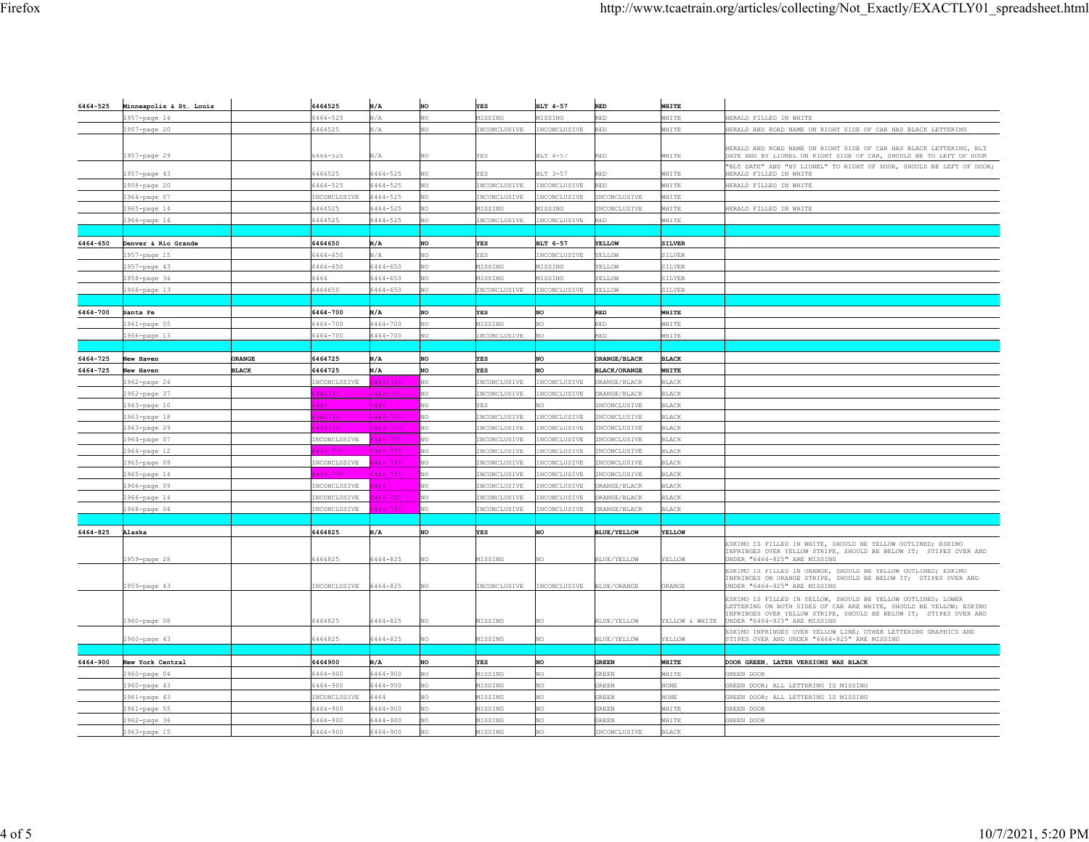| 6464-525 | Minneapolis & St. Louis |               | 6464525      | N/A          | <b>NO</b> | <b>YES</b>   | BLT 4-57     | <b>RED</b>          | WHITE          |                                                                                                                                                                                                         |
|----------|-------------------------|---------------|--------------|--------------|-----------|--------------|--------------|---------------------|----------------|---------------------------------------------------------------------------------------------------------------------------------------------------------------------------------------------------------|
|          | 1957-page 14            |               | 6464-525     | $\sqrt{A}$   | NO        | MISSING      | MISSING      | <b>RED</b>          | WHITE          | HERALD FILLED IN WHITE                                                                                                                                                                                  |
|          | 1957-page 20            |               | 6464525      | N/A          | NO        | INCONCLUSIVE | INCONCLUSIVE | RED                 | WHITE          | HERALD AND ROAD NAME ON RIGHT SIDE OF CAR HAS BLACK LETTERING                                                                                                                                           |
|          |                         |               |              |              |           |              |              |                     |                |                                                                                                                                                                                                         |
|          |                         |               |              |              |           |              |              |                     |                | HERALD AND ROAD NAME ON RIGHT SIDE OF CAR HAS BLACK LETTERING, BLT                                                                                                                                      |
|          | 1957-page 29            |               | 6464-525     | VА.          | NO.       | <b>YES</b>   | BLT 4-57     | <b>RED</b>          | WHITE          | DATE AND BY LIONEL ON RIGHT SIDE OF CAR, SHOULD BE TO LEFT OF DOOR                                                                                                                                      |
|          | 1957-page 43            |               | 6464525      | $5464 - 525$ | NO        | YES          | BLT 3-57     | <b>RED</b>          | WHITE          | "BLT DATE" AND "BY LIONEL" TO RIGHT OF DOOR, SHOULD BE LEFT OF DOOR;<br>HERALD FILLED IN WHITE                                                                                                          |
|          | 1958-page 20            |               | 6464-525     | $5464 - 525$ | NO.       | INCONCLUSIVE | NCONCLUSIVE  | <b>RED</b>          | WHITE          | HERALD FILLED IN WHITE                                                                                                                                                                                  |
|          | 1964-page 07            |               | INCONCLUSIVE | 6464-525     | NO.       | INCONCLUSIVE | INCONCLUSIVE | INCONCLUSIVE        | WHITE          |                                                                                                                                                                                                         |
|          | 1965-page 14            |               | 6464525      | $5464 - 525$ | NO        | MISSING      | MISSING      | INCONCLUSIVE        | WHITE          | HERALD FILLED IN WHITE                                                                                                                                                                                  |
|          | 1966-page 14            |               | 6464525      | 5464-525     | NO        | INCONCLUSIVE | INCONCLUSIVE | <b>RED</b>          | WHITE          |                                                                                                                                                                                                         |
|          |                         |               |              |              |           |              |              |                     |                |                                                                                                                                                                                                         |
| 6464-650 | Denver & Rio Grande     |               | 6464650      | N/A          | NO        | <b>YES</b>   | BLT 6-57     | YELLOW              | <b>SILVER</b>  |                                                                                                                                                                                                         |
|          | 1957-page 15            |               | $6464 - 650$ | $\sqrt{A}$   | NO        | <b>YES</b>   | INCONCLUSIVE | YELLOW              | SILVER         |                                                                                                                                                                                                         |
|          | 1957-page 43            |               | $6464 - 650$ | $5464 - 650$ | NO        | MISSING      | MISSING      | YELLOW              | SILVER         |                                                                                                                                                                                                         |
|          | 1958-page 34            |               | 6464         | $5464 - 650$ | NO.       | MISSING      | MISSING      | YELLOW              | SILVER         |                                                                                                                                                                                                         |
|          | 1966-page 13            |               | 6464650      | $6464 - 650$ | NO        | INCONCLUSIVE | INCONCLUSIVE | YELLOW              | SILVER         |                                                                                                                                                                                                         |
|          |                         |               |              |              |           |              |              |                     |                |                                                                                                                                                                                                         |
| 6464-700 | Santa Fe                |               | 6464-700     | N/A          | NO        | <b>YES</b>   | NO           | <b>RED</b>          | WHITE          |                                                                                                                                                                                                         |
|          | 1961-page 55            |               | 6464-700     | 5464-700     | NO        | MISSING      | NO           | <b>RED</b>          | WHITE          |                                                                                                                                                                                                         |
|          | 1966-page 13            |               | 6464-700     | $5464 - 700$ | NO        | INCONCLUSIVE | NO           | <b>RED</b>          | WHITE          |                                                                                                                                                                                                         |
|          |                         |               |              |              |           |              |              |                     |                |                                                                                                                                                                                                         |
| 6464-725 | New Haven               | <b>ORANGE</b> | 6464725      | N/A          | NO        | <b>YES</b>   | NO           | ORANGE/BLACK        | <b>BLACK</b>   |                                                                                                                                                                                                         |
| 6464-725 | New Haven               | <b>BLACK</b>  | 6464725      | N/A          | NO        | YES          | NO           | <b>BLACK/ORANGE</b> | WHITE          |                                                                                                                                                                                                         |
|          | 1962-page 24            |               | INCONCLUSIVE | $464 - 735$  | NO        | INCONCLUSIVE | INCONCLUSIVE | ORANGE/BLACK        | BLACK          |                                                                                                                                                                                                         |
|          | 1962-page 37            |               | 464735       | $464 - 735$  | NO        | INCONCLUSIVE | INCONCLUSIVE | ORANGE/BLACK        | <b>BLACK</b>   |                                                                                                                                                                                                         |
|          | 1963-page 10            |               | 484          | 5484         | NO        | YES          |              | INCONCLUSIVE        | BLACK          |                                                                                                                                                                                                         |
|          | 1963-page 18            |               | 464735       | $464 - 735$  | NO        | INCONCLUSIVE | INCONCLUSIVE | INCONCLUSIVE        | <b>BLACK</b>   |                                                                                                                                                                                                         |
|          | 1963-page 29            |               | 164735       | $464 - 735$  | NO        | INCONCLUSIVE | INCONCLUSIVE | INCONCLUSIVE        | <b>BLACK</b>   |                                                                                                                                                                                                         |
|          | 1964-page 07            |               | INCONCLUSIVE | 6464-750     | NO        | INCONCLUSIVE | INCONCLUSIVE | INCONCLUSIVE        | <b>BLACK</b>   |                                                                                                                                                                                                         |
|          | 1964-page 12            |               | $164 - 735$  | $464 - 735$  | NO        | INCONCLUSIVE | INCONCLUSIVE | INCONCLUSIVE        | <b>BLACK</b>   |                                                                                                                                                                                                         |
|          | 1965-page 09            |               | INCONCLUSIVE | $464 - 735$  | NO        | INCONCLUSIVE | NCONCLUSIVE  | INCONCLUSIVE        | BLACK          |                                                                                                                                                                                                         |
|          | 1965-page 14            |               | 464-735      | $464 - 735$  | NO        | INCONCLUSIVE | NCONCLUSIVE  | INCONCLUSIVE        | <b>BLACK</b>   |                                                                                                                                                                                                         |
|          | 1966-page 09            |               | INCONCLUSIVE | 5464         | NO        | INCONCLUSIVE | INCONCLUSIVE | ORANGE/BLACK        | <b>BLACK</b>   |                                                                                                                                                                                                         |
|          | 1966-page 14            |               | INCONCLUSIVE | $464 - 735$  | NO        | INCONCLUSIVE | INCONCLUSIVE | ORANGE/BLACK        | <b>BLACK</b>   |                                                                                                                                                                                                         |
|          | 1968-page 04            |               | INCONCLUSIVE | $464 - 735$  | NO        | INCONCLUSIVE | NCONCLUSIVE  | ORANGE/BLACK        | BLACK          |                                                                                                                                                                                                         |
|          |                         |               |              |              |           |              |              |                     |                |                                                                                                                                                                                                         |
| 6464-825 | Alaska                  |               | 6464825      | N/A          | <b>NO</b> | <b>YES</b>   | NO           | <b>BLUE/YELLOW</b>  | YELLOW         |                                                                                                                                                                                                         |
|          | 1959-page 28            |               | 6464825      | 5464-825     | NO        | MISSING      |              | BLUE/YELLOW         | ELLOW          | SKIMO IS FILLED IN WHITE, SHOULD BE YELLOW OUTLINED; ESKIMO<br>INFRINGES OVER YELLOW STRIPE, SHOULD BE BELOW IT; STIPES OVER AND<br>JNDER "6464-825" ARE MISSING                                        |
|          | 1959-page 43            |               | INCONCLUSIVE | 5464-825     | NO        | INCONCLUSIVE | INCONCLUSIVE | <b>BLUE/ORANGE</b>  | <b>DRANGE</b>  | ESKIMO IS FILLED IN ORANGE, SHOULD BE YELLOW OUTLINED; ESKIMO<br>INFRINGES ON ORANGE STRIPE, SHOULD BE BELOW IT; STIPES OVER AND<br>JNDER "6464-825" ARE MISSING                                        |
|          |                         |               |              |              |           |              |              |                     |                | ESKIMO IS FILLED IN YELLOW, SHOULD BE YELLOW OUTLINED; LOWER<br>LETTERING ON BOTH SIDES OF CAR ARE WHITE, SHOULD BE YELLOW; ESKIMO<br>INFRINGES OVER YELLOW STRIPE, SHOULD BE BELOW IT; STIPES OVER AND |
|          | 1960-page 08            |               | 6464825      | $5464 - 825$ | NO.       | MISSING      | NO           | BLUE/YELLOW         | YELLOW & WHITE | UNDER "6464-825" ARE MISSING                                                                                                                                                                            |
|          | 1960-page 43            |               | 6464825      | $5464 - 825$ | NO.       | MISSING      |              | BLUE/YELLOW         | YELLOW         | ESKIMO INFRINGES OVER YELLOW LINE; OTHER LETTERING GRAPHICS AND<br>STIPES OVER AND UNDER "6464-825" ARE MISSING                                                                                         |
|          |                         |               |              |              |           |              |              |                     |                |                                                                                                                                                                                                         |
| 6464-900 | New York Central        |               | 6464900      | N/A          | <b>NO</b> | <b>YES</b>   | NO           | <b>GREEN</b>        | WHITE          | DOOR GREEN, LATER VERSIONS WAS BLACK                                                                                                                                                                    |
|          | 1960-page 04            |               | 6464-900     | 6464-900     | NO        | MISSING      | NO           | <b>GREEN</b>        | WHITE          | GREEN DOOR                                                                                                                                                                                              |
|          | 1960-page 43            |               | 6464-900     | $5464 - 900$ | NO        | MISSING      | NO           | <b>GREEN</b>        | NONE           | GREEN DOOR; ALL LETTERING IS MISSING                                                                                                                                                                    |
|          | 1961-page 43            |               | INCONCLUSIVE | 464          | NO        | MISSING      | NO.          | GREEN               | NONE           | GREEN DOOR; ALL LETTERING IS MISSING                                                                                                                                                                    |
|          | 1961-page 55            |               | 6464-900     | 6464-900     | NO.       | MISSING      | NO.          | <b>GREEN</b>        | WHITE          | GREEN DOOR                                                                                                                                                                                              |
|          | 1962-page 36            |               | 6464-900     | $5464 - 900$ | NO        | MISSING      | NO           | <b>GREEN</b>        | WHITE          | REEN DOOR                                                                                                                                                                                               |
|          | 1963-page 15            |               | 6464-900     | 5464-900     | NΩ        | MISSING      | NΩ           | INCONCLUSIVE        | <b>BLACK</b>   |                                                                                                                                                                                                         |